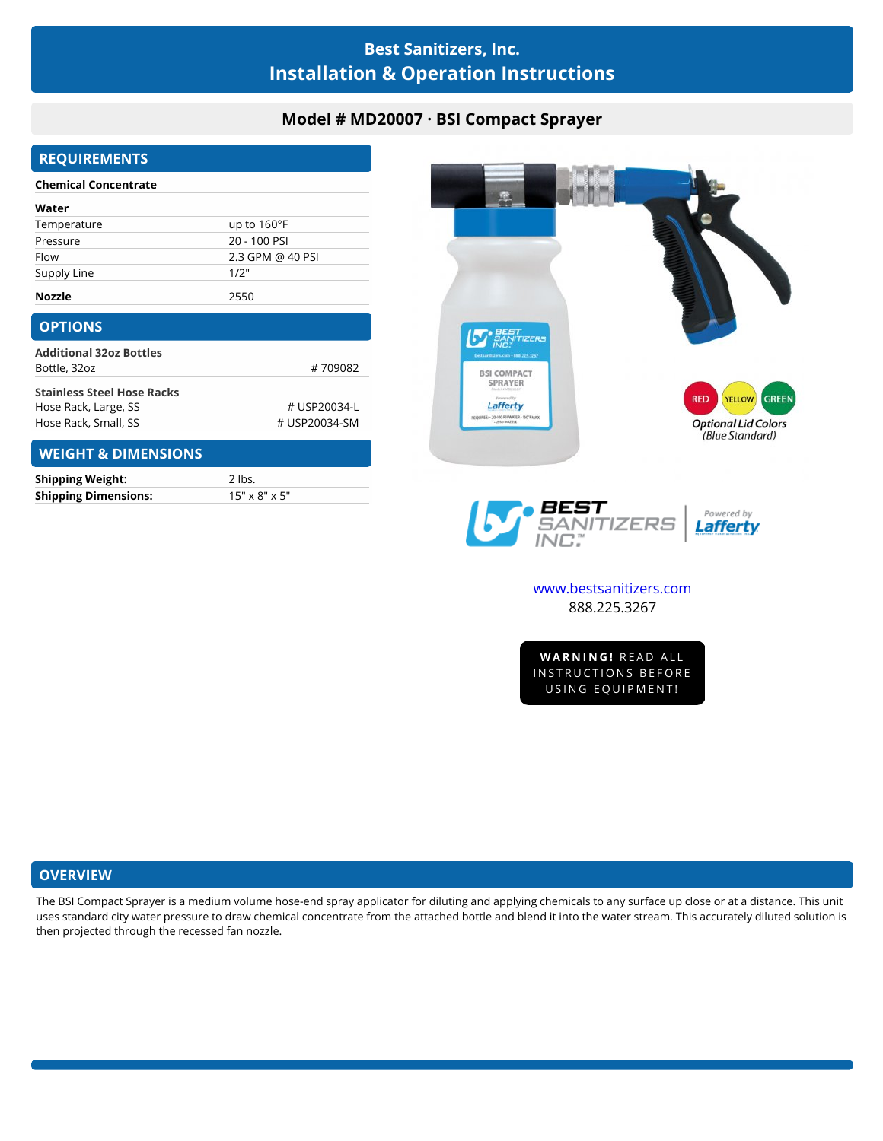# **Best Sanitizers, Inc. Installation & Operation Instructions**

## **Model # MD20007 · BSI Compact Sprayer**

## **REQUIREMENTS**

| Water         |                      |
|---------------|----------------------|
| Temperature   | up to $160^{\circ}F$ |
| Pressure      | 20 - 100 PSI         |
| Flow          | 2.3 GPM @ 40 PSI     |
| Supply Line   | 1/2"                 |
| <b>Nozzle</b> | 2550                 |

| #709082       |
|---------------|
|               |
| # USP20034-L  |
| # USP20034-SM |
|               |

#### **WEIGHT & DIMENSIONS**

| <b>Shipping Weight:</b>     | $2$ lbs.                  |
|-----------------------------|---------------------------|
| <b>Shipping Dimensions:</b> | $15" \times 8" \times 5"$ |



## **OVERVIEW**

The BSI Compact Sprayer is a medium volume hose-end spray applicator for diluting and applying chemicals to any surface up close or at a distance. This unit uses standard city water pressure to draw chemical concentrate from the attached bottle and blend it into the water stream. This accurately diluted solution is then projected through the recessed fan nozzle.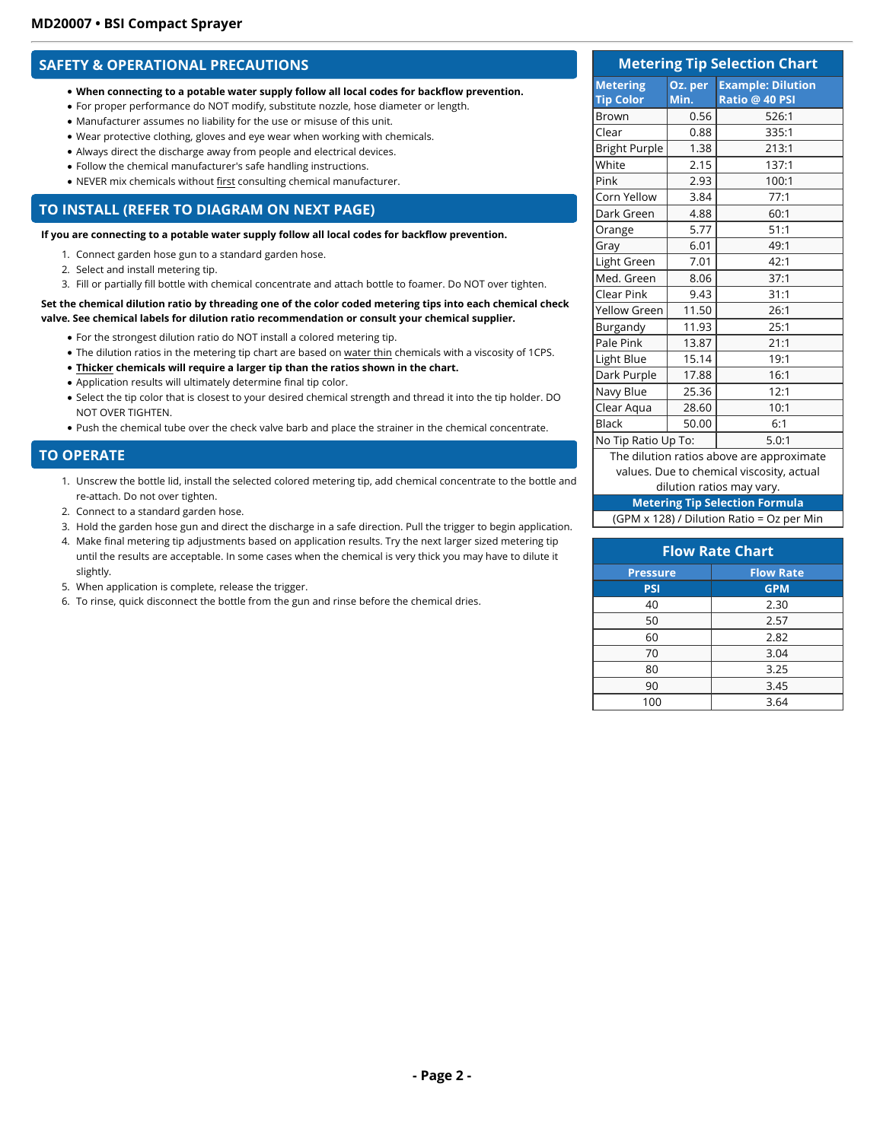### **SAFETY & OPERATIONAL PRECAUTIONS**

- **When connecting to a potable water supply follow all local codes for backflow prevention.**
- For proper performance do NOT modify, substitute nozzle, hose diameter or length.
- Manufacturer assumes no liability for the use or misuse of this unit.
- Wear protective clothing, gloves and eye wear when working with chemicals.
- Always direct the discharge away from people and electrical devices.
- Follow the chemical manufacturer's safe handling instructions.
- NEVER mix chemicals without first consulting chemical manufacturer.

### **TO INSTALL (REFER TO DIAGRAM ON NEXT PAGE)**

**If you are connecting to a potable water supply follow all local codes for backflow prevention.**

- 1. Connect garden hose gun to a standard garden hose.
- 2. Select and install metering tip.
- 3. Fill or partially fill bottle with chemical concentrate and attach bottle to foamer. Do NOT over tighten.

#### **Set the chemical dilution ratio by threading one of the color coded metering tips into each chemical check valve. See chemical labels for dilution ratio recommendation or consult your chemical supplier.**

- For the strongest dilution ratio do NOT install a colored metering tip.
- The dilution ratios in the metering tip chart are based on water thin chemicals with a viscosity of 1CPS.
- **Thicker chemicals will require a larger tip than the ratios shown in the chart.**
- Application results will ultimately determine final tip color.
- Select the tip color that is closest to your desired chemical strength and thread it into the tip holder. DO NOT OVER TIGHTEN.
- Push the chemical tube over the check valve barb and place the strainer in the chemical concentrate.

#### **TO OPERATE**

- 1. Unscrew the bottle lid, install the selected colored metering tip, add chemical concentrate to the bottle and re-attach. Do not over tighten.
- 2. Connect to a standard garden hose.
- 3. Hold the garden hose gun and direct the discharge in a safe direction. Pull the trigger to begin application.
- 4. Make final metering tip adjustments based on application results. Try the next larger sized metering tip until the results are acceptable. In some cases when the chemical is very thick you may have to dilute it slightly.
- 5. When application is complete, release the trigger.
- 6. To rinse, quick disconnect the bottle from the gun and rinse before the chemical dries.

#### **Metering Tip Selection Chart Metering Tip Color Oz. per Min. Example: Dilution Ratio @ 40 PSI** Brown | 0.56 526:1 Clear 0.88 335:1 Bright Purple 1.38 213:1 White | 2.15 | 137:1 Pink 2.93 100:1 Corn Yellow 3.84 77:1 Dark Green  $\vert$  4.88 60:1 Orange | 5.77 51:1 Gray | 6.01 | 49:1 Light Green | 7.01 | 42:1 Med. Green 8.06 37:1 Clear Pink  $\begin{vmatrix} 9.43 & 31:1 \end{vmatrix}$ Yellow Green 11.50 26:1 Burgandy 11.93 25:1 Pale Pink | 13.87 | 21:1 Light Blue | 15.14 | 19:1 Dark Purple | 17.88 | 16:1 Navy Blue | 25.36 | 12:1  $Clear Aqua$   $28.60$  10:1 Black | 50.00 | 6:1 No Tip Ratio Up To:  $\vert$  5.0:1 The dilution ratios above are approximate

values. Due to chemical viscosity, actual

### dilution ratios may vary.

**Metering Tip Selection Formula**

|  |  | (GPM x 128) / Dilution Ratio = Oz per Min |  |
|--|--|-------------------------------------------|--|
|--|--|-------------------------------------------|--|

| <b>Flow Rate Chart</b> |  |  |
|------------------------|--|--|
| <b>Flow Rate</b>       |  |  |
| <b>GPM</b>             |  |  |
| 2.30                   |  |  |
| 2.57                   |  |  |
| 2.82                   |  |  |
| 3.04                   |  |  |
| 3.25                   |  |  |
| 3.45                   |  |  |
| 3.64                   |  |  |
|                        |  |  |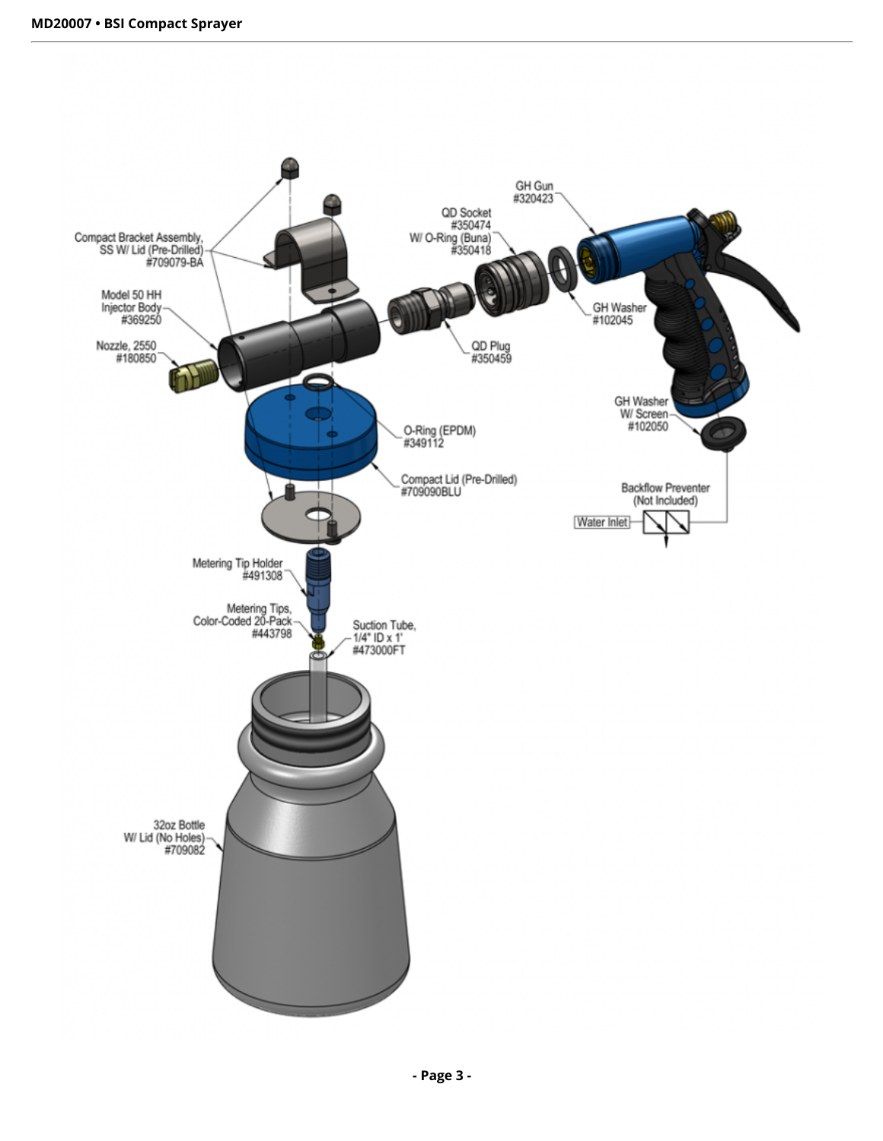